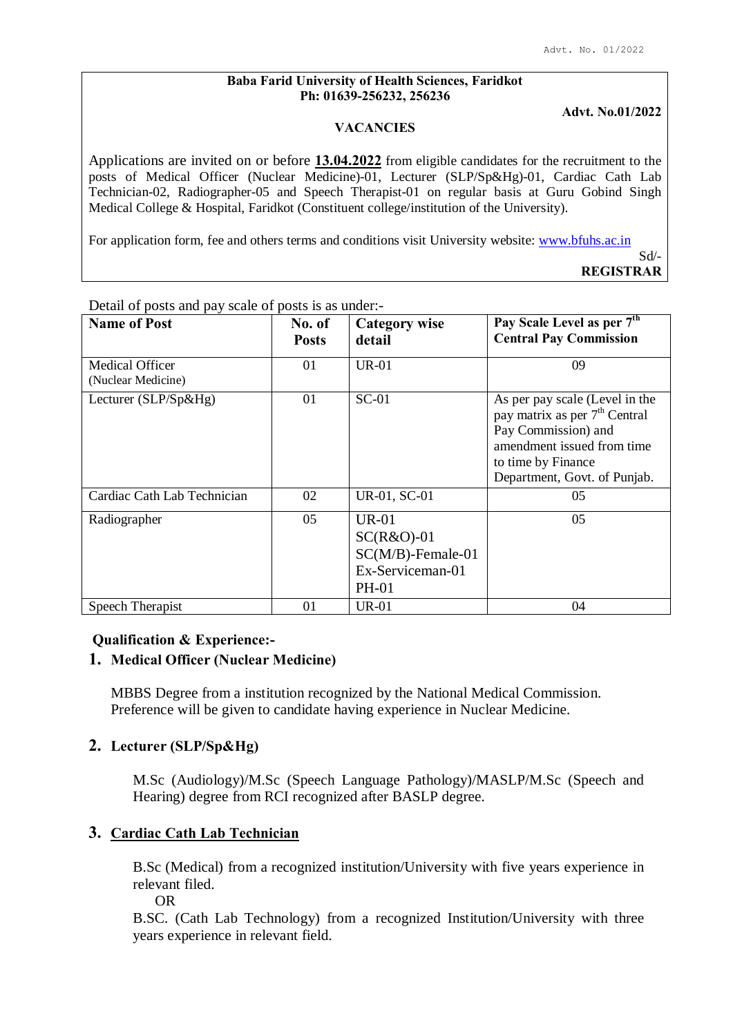#### **Baba Farid University of Health Sciences, Faridkot Ph: 01639-256232, 256236**

**Advt. No.01/2022**

#### **VACANCIES**

Applications are invited on or before **13.04.2022** from eligible candidates for the recruitment to the posts of Medical Officer (Nuclear Medicine)-01, Lecturer (SLP/Sp&Hg)-01, Cardiac Cath Lab Technician-02, Radiographer-05 and Speech Therapist-01 on regular basis at Guru Gobind Singh Medical College & Hospital, Faridkot (Constituent college/institution of the University).

For application form, fee and others terms and conditions visit University website: www.bfuhs.ac.in

Sd/- **REGISTRAR**

| <b>Name of Post</b>                          | No. of<br><b>Posts</b> | <b>Category wise</b><br>detail                                                           | Pay Scale Level as per 7 <sup>th</sup><br><b>Central Pay Commission</b>                                                                                                                |
|----------------------------------------------|------------------------|------------------------------------------------------------------------------------------|----------------------------------------------------------------------------------------------------------------------------------------------------------------------------------------|
| <b>Medical Officer</b><br>(Nuclear Medicine) | 01                     | $UR-01$                                                                                  | 09                                                                                                                                                                                     |
| Lecturer (SLP/Sp&Hg)                         | 01                     | $SC-01$                                                                                  | As per pay scale (Level in the<br>pay matrix as per 7 <sup>th</sup> Central<br>Pay Commission) and<br>amendment issued from time<br>to time by Finance<br>Department, Govt. of Punjab. |
| Cardiac Cath Lab Technician                  | 02                     | UR-01, SC-01                                                                             | 05                                                                                                                                                                                     |
| Radiographer                                 | 05                     | <b>UR-01</b><br>$SC(R&O)-01$<br>$SC(M/B)$ -Female-01<br>Ex-Serviceman-01<br><b>PH-01</b> | 0.5                                                                                                                                                                                    |
| Speech Therapist                             | 01                     | <b>UR-01</b>                                                                             | 04                                                                                                                                                                                     |

Detail of posts and pay scale of posts is as under:-

# **Qualification & Experience:-**

## **1. Medical Officer (Nuclear Medicine)**

MBBS Degree from a institution recognized by the National Medical Commission. Preference will be given to candidate having experience in Nuclear Medicine.

## **2. Lecturer (SLP/Sp&Hg)**

M.Sc (Audiology)/M.Sc (Speech Language Pathology)/MASLP/M.Sc (Speech and Hearing) degree from RCI recognized after BASLP degree.

# **3. Cardiac Cath Lab Technician**

B.Sc (Medical) from a recognized institution/University with five years experience in relevant filed.

OR

B.SC. (Cath Lab Technology) from a recognized Institution/University with three years experience in relevant field.